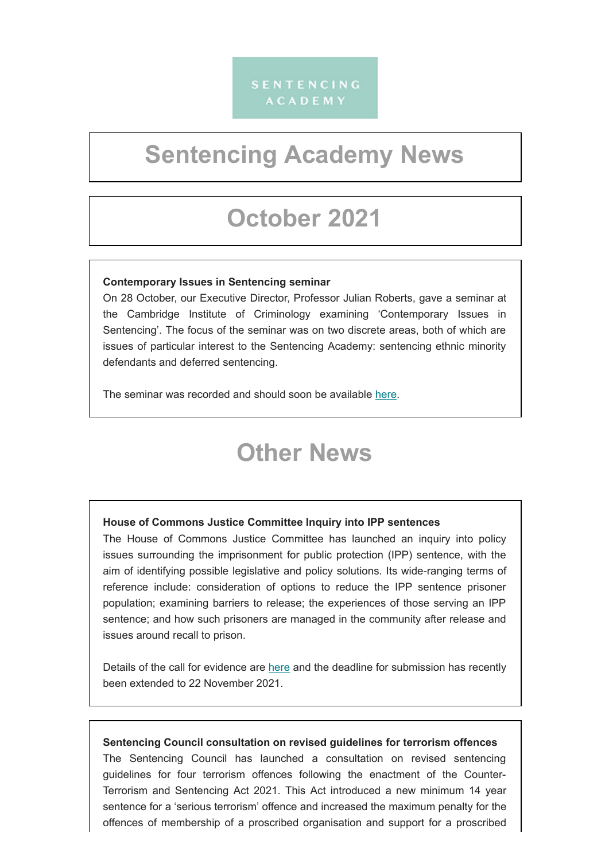### **SENTENCING ACADEMY**

# **Sentencing Academy News**

## **October 2021**

#### **Contemporary Issues in Sentencing seminar**

On 28 October, our Executive Director, Professor Julian Roberts, gave a seminar at the Cambridge Institute of Criminology examining 'Contemporary Issues in Sentencing'. The focus of the seminar was on two discrete areas, both of which are issues of particular interest to the Sentencing Academy: sentencing ethnic minority defendants and deferred sentencing.

The seminar was recorded and should soon be available [here.](https://www.crim.cam.ac.uk/events/eventrecordings/2021-events)

### **Other News**

#### **House of Commons Justice Committee Inquiry into IPP sentences**

The House of Commons Justice Committee has launched an inquiry into policy issues surrounding the imprisonment for public protection (IPP) sentence, with the aim of identifying possible legislative and policy solutions. Its wide-ranging terms of reference include: consideration of options to reduce the IPP sentence prisoner population; examining barriers to release; the experiences of those serving an IPP sentence; and how such prisoners are managed in the community after release and issues around recall to prison.

Details of the call for evidence are [here](https://committees.parliament.uk/call-for-evidence/588/) and the deadline for submission has recently been extended to 22 November 2021.

#### **Sentencing Council consultation on revised guidelines for terrorism offences**

The Sentencing Council has launched a consultation on revised sentencing guidelines for four terrorism offences following the enactment of the Counter-Terrorism and Sentencing Act 2021. This Act introduced a new minimum 14 year sentence for a 'serious terrorism' offence and increased the maximum penalty for the offences of membership of a proscribed organisation and support for a proscribed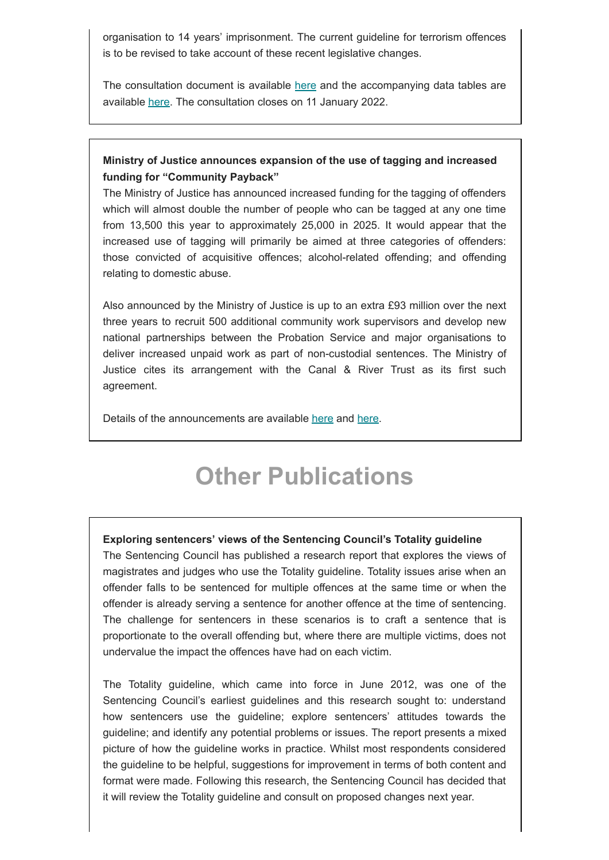organisation to 14 years' imprisonment. The current guideline for terrorism offences is to be revised to take account of these recent legislative changes.

The consultation document is available [here](https://www.sentencingcouncil.org.uk/wp-content/uploads/2021-Terrorism-consultation-paper-FINAL.pdf) and the accompanying data tables are available [here](https://www.sentencingcouncil.org.uk/publications/item/terrorism-revised-data-tables/). The consultation closes on 11 January 2022.

#### **Ministry of Justice announces expansion of the use of tagging and increased funding for "Community Payback"**

The Ministry of Justice has announced increased funding for the tagging of offenders which will almost double the number of people who can be tagged at any one time from 13,500 this year to approximately 25,000 in 2025. It would appear that the increased use of tagging will primarily be aimed at three categories of offenders: those convicted of acquisitive offences; alcohol-related offending; and offending relating to domestic abuse.

Also announced by the Ministry of Justice is up to an extra £93 million over the next three years to recruit 500 additional community work supervisors and develop new national partnerships between the Probation Service and major organisations to deliver increased unpaid work as part of non-custodial sentences. The Ministry of Justice cites its arrangement with the Canal & River Trust as its first such agreement.

Details of the announcements are available [here](https://www.gov.uk/government/news/tens-of-thousands-more-criminals-to-be-tagged-to-cut-crime-and-protect-victims) and [here](https://www.gov.uk/government/news/offenders-to-pay-back-society-more-visibly-under-90-million-plan).

### **Other Publications**

#### **Exploring sentencers' views of the Sentencing Council's Totality guideline**

The Sentencing Council has published a research report that explores the views of magistrates and judges who use the Totality guideline. Totality issues arise when an offender falls to be sentenced for multiple offences at the same time or when the offender is already serving a sentence for another offence at the time of sentencing. The challenge for sentencers in these scenarios is to craft a sentence that is proportionate to the overall offending but, where there are multiple victims, does not undervalue the impact the offences have had on each victim.

The Totality guideline, which came into force in June 2012, was one of the Sentencing Council's earliest guidelines and this research sought to: understand how sentencers use the guideline; explore sentencers' attitudes towards the guideline; and identify any potential problems or issues. The report presents a mixed picture of how the guideline works in practice. Whilst most respondents considered the guideline to be helpful, suggestions for improvement in terms of both content and format were made. Following this research, the Sentencing Council has decided that it will review the Totality guideline and consult on proposed changes next year.